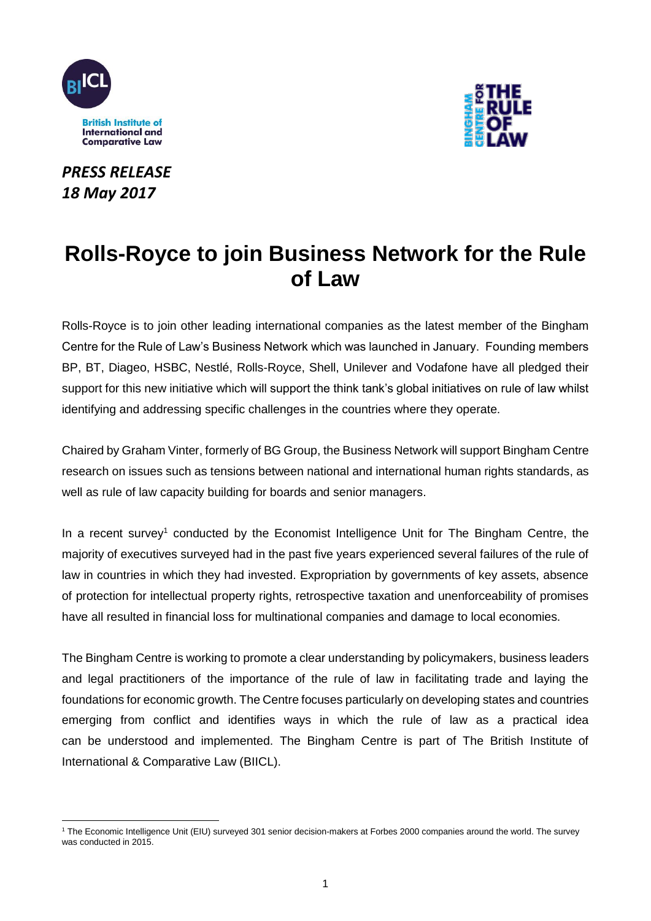

*PRESS RELEASE 18 May 2017*



# **Rolls-Royce to join Business Network for the Rule of Law**

Rolls-Royce is to join other leading international companies as the latest member of the Bingham Centre for the Rule of Law's Business Network which was launched in January. Founding members BP, BT, Diageo, HSBC, Nestlé, Rolls-Royce, Shell, Unilever and Vodafone have all pledged their support for this new initiative which will support the think tank's global initiatives on rule of law whilst identifying and addressing specific challenges in the countries where they operate.

Chaired by Graham Vinter, formerly of BG Group, the Business Network will support Bingham Centre research on issues such as tensions between national and international human rights standards, as well as rule of law capacity building for boards and senior managers.

In a recent survey<sup>1</sup> conducted by the Economist Intelligence Unit for The Bingham Centre, the majority of executives surveyed had in the past five years experienced several failures of the rule of law in countries in which they had invested. Expropriation by governments of key assets, absence of protection for intellectual property rights, retrospective taxation and unenforceability of promises have all resulted in financial loss for multinational companies and damage to local economies.

The Bingham Centre is working to promote a clear understanding by policymakers, business leaders and legal practitioners of the importance of the rule of law in facilitating trade and laying the foundations for economic growth. The Centre focuses particularly on developing states and countries emerging from conflict and identifies ways in which the rule of law as a practical idea can be understood and implemented. The Bingham Centre is part of The British Institute of International & Comparative Law (BIICL).

<sup>-</sup><sup>1</sup> The Economic Intelligence Unit (EIU) surveyed 301 senior decision-makers at Forbes 2000 companies around the world. The survey was conducted in 2015.